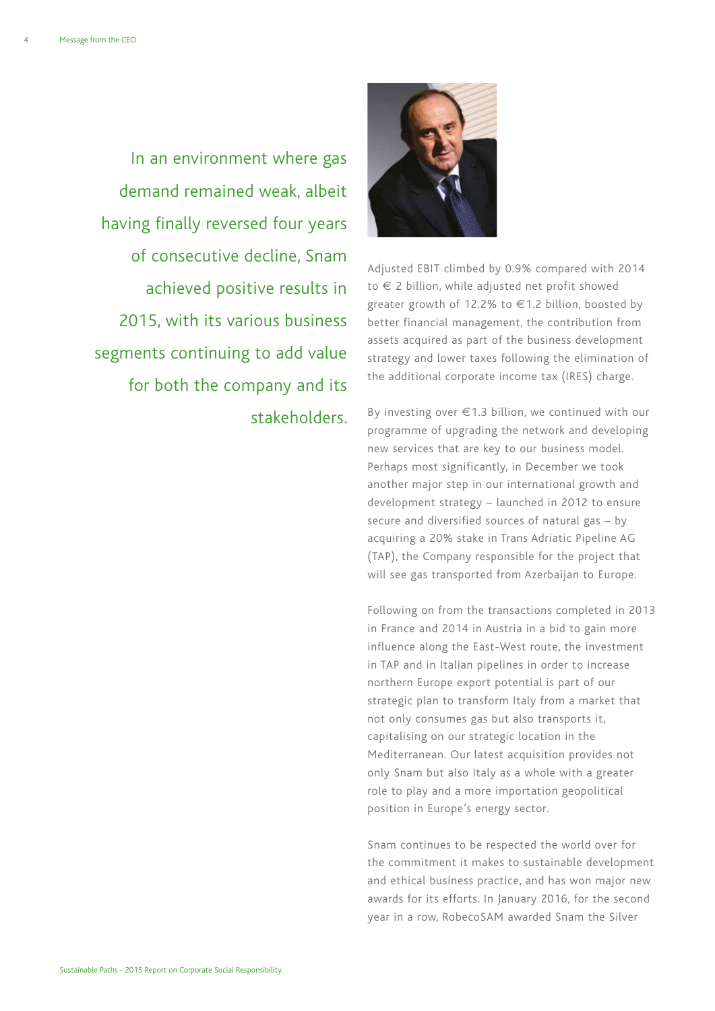In an environment where gas demand remained weak, albeit having finally reversed four years of consecutive decline, Snam achieved positive results in 2015, with its various business segments continuing to add value for both the company and its stakeholders.



Adjusted EBIT climbed by 0.9% compared with 2014 to € 2 billion, while adjusted net profit showed greater growth of 12.2% to €1.2 billion, boosted by better financial management, the contribution from assets acquired as part of the business development strategy and lower taxes following the elimination of the additional corporate income tax (IRES) charge.

By investing over €1.3 billion, we continued with our programme of upgrading the network and developing new services that are key to our business model. Perhaps most significantly, in December we took another major step in our international growth and development strategy – launched in 2012 to ensure secure and diversified sources of natural gas – by acquiring a 20% stake in Trans Adriatic Pipeline AG (TAP), the Company responsible for the project that will see gas transported from Azerbaijan to Europe.

Following on from the transactions completed in 2013 in France and 2014 in Austria in a bid to gain more influence along the East-West route, the investment in TAP and in Italian pipelines in order to increase northern Europe export potential is part of our strategic plan to transform Italy from a market that not only consumes gas but also transports it, capitalising on our strategic location in the Mediterranean. Our latest acquisition provides not only Snam but also Italy as a whole with a greater role to play and a more importation geopolitical position in Europe's energy sector.

Snam continues to be respected the world over for the commitment it makes to sustainable development and ethical business practice, and has won major new awards for its efforts. In January 2016, for the second year in a row, RobecoSAM awarded Snam the Silver